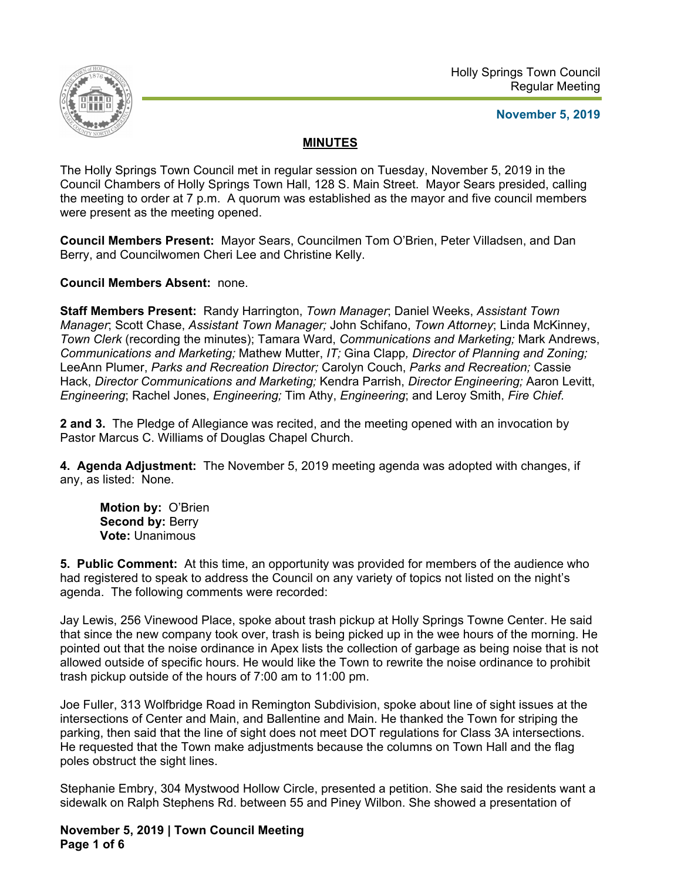

### **November 5, 2019**

# **MINUTES**

The Holly Springs Town Council met in regular session on Tuesday, November 5, 2019 in the Council Chambers of Holly Springs Town Hall, 128 S. Main Street. Mayor Sears presided, calling the meeting to order at 7 p.m. A quorum was established as the mayor and five council members were present as the meeting opened.

**Council Members Present:** Mayor Sears, Councilmen Tom O'Brien, Peter Villadsen, and Dan Berry, and Councilwomen Cheri Lee and Christine Kelly.

**Council Members Absent:** none.

**Staff Members Present:** Randy Harrington, *Town Manager*; Daniel Weeks, *Assistant Town Manager*; Scott Chase, *Assistant Town Manager;* John Schifano, *Town Attorney*; Linda McKinney, *Town Clerk* (recording the minutes); Tamara Ward, *Communications and Marketing;* Mark Andrews, *Communications and Marketing;* Mathew Mutter, *IT;* Gina Clapp*, Director of Planning and Zoning;* LeeAnn Plumer, *Parks and Recreation Director;* Carolyn Couch, *Parks and Recreation;* Cassie Hack, *Director Communications and Marketing;* Kendra Parrish, *Director Engineering;* Aaron Levitt, *Engineering*; Rachel Jones, *Engineering;* Tim Athy, *Engineering*; and Leroy Smith, *Fire Chief.*

**2 and 3.** The Pledge of Allegiance was recited, and the meeting opened with an invocation by Pastor Marcus C. Williams of Douglas Chapel Church.

**4. Agenda Adjustment:** The November 5, 2019 meeting agenda was adopted with changes, if any, as listed: None.

**Motion by:** O'Brien Second by: Berry **Vote:** Unanimous

**5. Public Comment:** At this time, an opportunity was provided for members of the audience who had registered to speak to address the Council on any variety of topics not listed on the night's agenda. The following comments were recorded:

Jay Lewis, 256 Vinewood Place, spoke about trash pickup at Holly Springs Towne Center. He said that since the new company took over, trash is being picked up in the wee hours of the morning. He pointed out that the noise ordinance in Apex lists the collection of garbage as being noise that is not allowed outside of specific hours. He would like the Town to rewrite the noise ordinance to prohibit trash pickup outside of the hours of 7:00 am to 11:00 pm.

Joe Fuller, 313 Wolfbridge Road in Remington Subdivision, spoke about line of sight issues at the intersections of Center and Main, and Ballentine and Main. He thanked the Town for striping the parking, then said that the line of sight does not meet DOT regulations for Class 3A intersections. He requested that the Town make adjustments because the columns on Town Hall and the flag poles obstruct the sight lines.

Stephanie Embry, 304 Mystwood Hollow Circle, presented a petition. She said the residents want a sidewalk on Ralph Stephens Rd. between 55 and Piney Wilbon. She showed a presentation of

**November 5, 2019 | Town Council Meeting Page 1 of 6**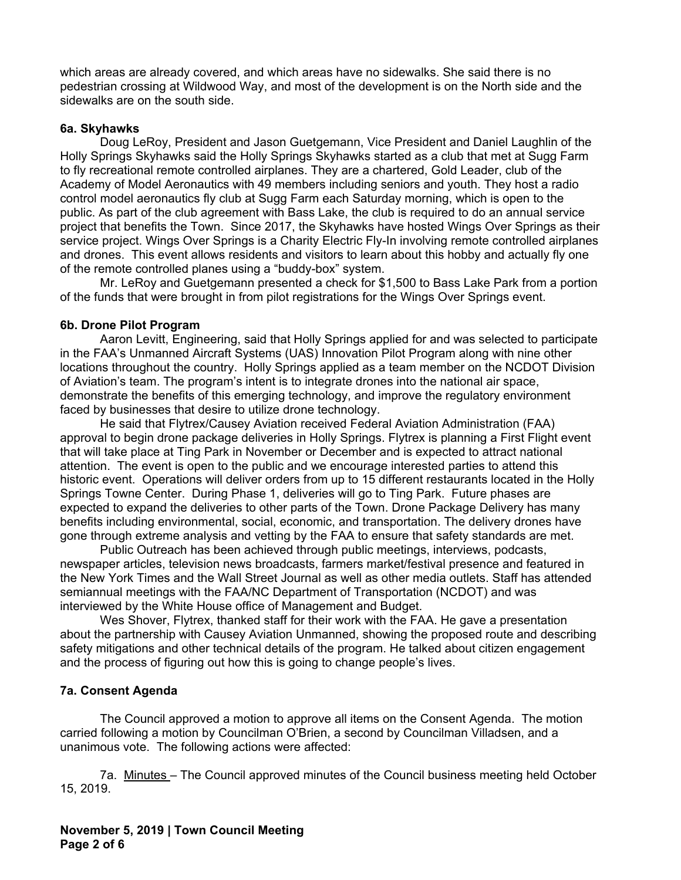which areas are already covered, and which areas have no sidewalks. She said there is no pedestrian crossing at Wildwood Way, and most of the development is on the North side and the sidewalks are on the south side.

### **6a. Skyhawks**

Doug LeRoy, President and Jason Guetgemann, Vice President and Daniel Laughlin of the Holly Springs Skyhawks said the Holly Springs Skyhawks started as a club that met at Sugg Farm to fly recreational remote controlled airplanes. They are a chartered, Gold Leader, club of the Academy of Model Aeronautics with 49 members including seniors and youth. They host a radio control model aeronautics fly club at Sugg Farm each Saturday morning, which is open to the public. As part of the club agreement with Bass Lake, the club is required to do an annual service project that benefits the Town. Since 2017, the Skyhawks have hosted Wings Over Springs as their service project. Wings Over Springs is a Charity Electric Fly-In involving remote controlled airplanes and drones. This event allows residents and visitors to learn about this hobby and actually fly one of the remote controlled planes using a "buddy-box" system.

 Mr. LeRoy and Guetgemann presented a check for \$1,500 to Bass Lake Park from a portion of the funds that were brought in from pilot registrations for the Wings Over Springs event.

### **6b. Drone Pilot Program**

Aaron Levitt, Engineering, said that Holly Springs applied for and was selected to participate in the FAA's Unmanned Aircraft Systems (UAS) Innovation Pilot Program along with nine other locations throughout the country. Holly Springs applied as a team member on the NCDOT Division of Aviation's team. The program's intent is to integrate drones into the national air space, demonstrate the benefits of this emerging technology, and improve the regulatory environment faced by businesses that desire to utilize drone technology.

 He said that Flytrex/Causey Aviation received Federal Aviation Administration (FAA) approval to begin drone package deliveries in Holly Springs. Flytrex is planning a First Flight event that will take place at Ting Park in November or December and is expected to attract national attention. The event is open to the public and we encourage interested parties to attend this historic event. Operations will deliver orders from up to 15 different restaurants located in the Holly Springs Towne Center. During Phase 1, deliveries will go to Ting Park. Future phases are expected to expand the deliveries to other parts of the Town. Drone Package Delivery has many benefits including environmental, social, economic, and transportation. The delivery drones have gone through extreme analysis and vetting by the FAA to ensure that safety standards are met.

 Public Outreach has been achieved through public meetings, interviews, podcasts, newspaper articles, television news broadcasts, farmers market/festival presence and featured in the New York Times and the Wall Street Journal as well as other media outlets. Staff has attended semiannual meetings with the FAA/NC Department of Transportation (NCDOT) and was interviewed by the White House office of Management and Budget.

 Wes Shover, Flytrex, thanked staff for their work with the FAA. He gave a presentation about the partnership with Causey Aviation Unmanned, showing the proposed route and describing safety mitigations and other technical details of the program. He talked about citizen engagement and the process of figuring out how this is going to change people's lives.

## **7a. Consent Agenda**

The Council approved a motion to approve all items on the Consent Agenda. The motion carried following a motion by Councilman O'Brien, a second by Councilman Villadsen, and a unanimous vote. The following actions were affected:

7a. Minutes – The Council approved minutes of the Council business meeting held October 15, 2019.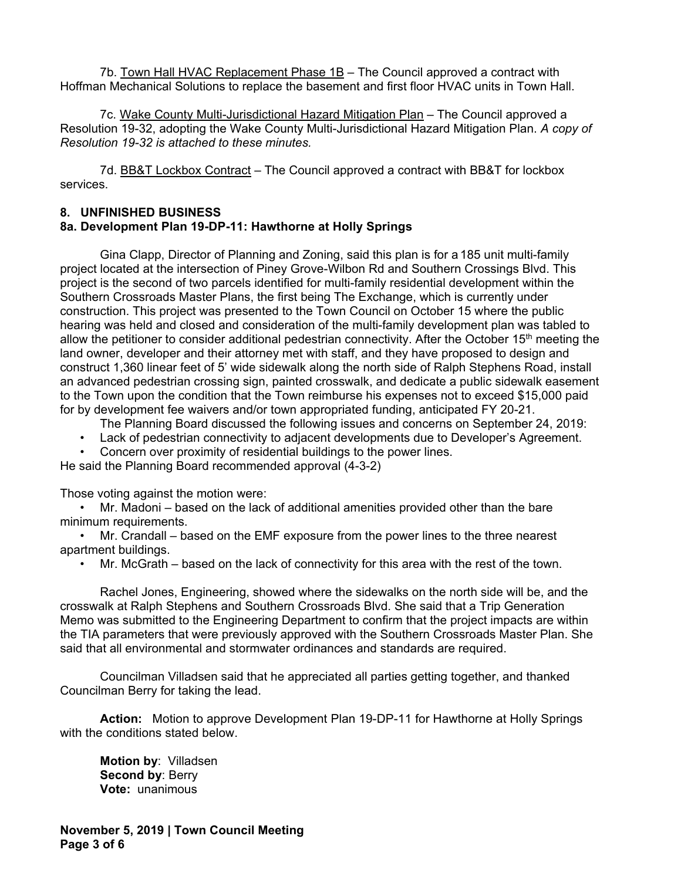7b. Town Hall HVAC Replacement Phase 1B – The Council approved a contract with Hoffman Mechanical Solutions to replace the basement and first floor HVAC units in Town Hall.

7c. Wake County Multi-Jurisdictional Hazard Mitigation Plan – The Council approved a Resolution 19-32, adopting the Wake County Multi-Jurisdictional Hazard Mitigation Plan. *A copy of Resolution 19-32 is attached to these minutes.* 

7d. BB&T Lockbox Contract - The Council approved a contract with BB&T for lockbox services.

### **8. UNFINISHED BUSINESS**

## **8a. Development Plan 19-DP-11: Hawthorne at Holly Springs**

 Gina Clapp, Director of Planning and Zoning, said this plan is for a 185 unit multi-family project located at the intersection of Piney Grove-Wilbon Rd and Southern Crossings Blvd. This project is the second of two parcels identified for multi-family residential development within the Southern Crossroads Master Plans, the first being The Exchange, which is currently under construction. This project was presented to the Town Council on October 15 where the public hearing was held and closed and consideration of the multi-family development plan was tabled to allow the petitioner to consider additional pedestrian connectivity. After the October 15th meeting the land owner, developer and their attorney met with staff, and they have proposed to design and construct 1,360 linear feet of 5' wide sidewalk along the north side of Ralph Stephens Road, install an advanced pedestrian crossing sign, painted crosswalk, and dedicate a public sidewalk easement to the Town upon the condition that the Town reimburse his expenses not to exceed \$15,000 paid for by development fee waivers and/or town appropriated funding, anticipated FY 20-21.

The Planning Board discussed the following issues and concerns on September 24, 2019:

- Lack of pedestrian connectivity to adjacent developments due to Developer's Agreement.
- Concern over proximity of residential buildings to the power lines.

He said the Planning Board recommended approval (4-3-2)

Those voting against the motion were:

• Mr. Madoni – based on the lack of additional amenities provided other than the bare minimum requirements.

• Mr. Crandall – based on the EMF exposure from the power lines to the three nearest apartment buildings.

• Mr. McGrath – based on the lack of connectivity for this area with the rest of the town.

 Rachel Jones, Engineering, showed where the sidewalks on the north side will be, and the crosswalk at Ralph Stephens and Southern Crossroads Blvd. She said that a Trip Generation Memo was submitted to the Engineering Department to confirm that the project impacts are within the TIA parameters that were previously approved with the Southern Crossroads Master Plan. She said that all environmental and stormwater ordinances and standards are required.

 Councilman Villadsen said that he appreciated all parties getting together, and thanked Councilman Berry for taking the lead.

**Action:** Motion to approve Development Plan 19-DP-11 for Hawthorne at Holly Springs with the conditions stated below.

 **Motion by**: Villadsen  **Second by**: Berry  **Vote:** unanimous

**November 5, 2019 | Town Council Meeting Page 3 of 6**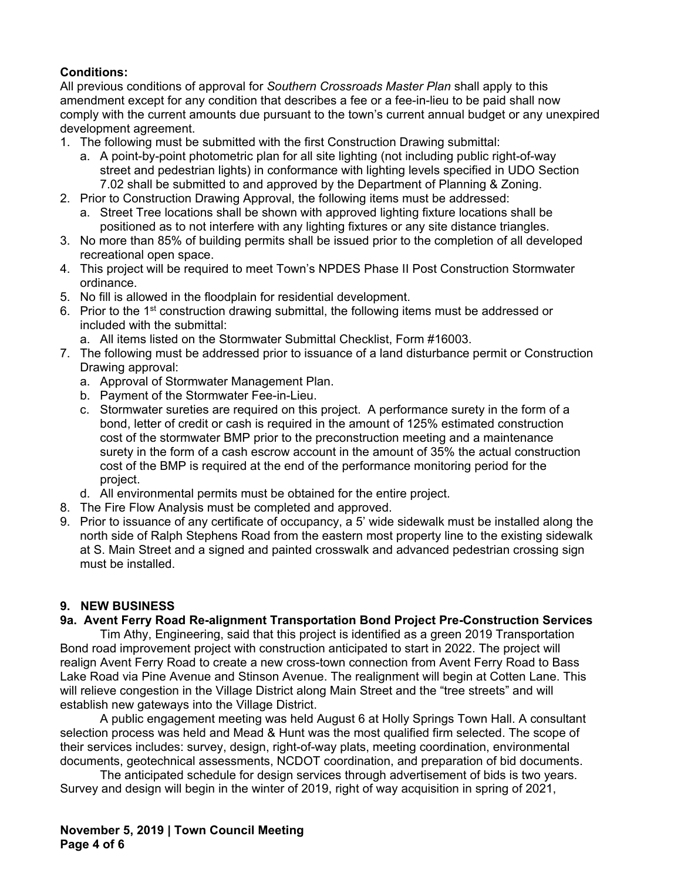# **Conditions:**

All previous conditions of approval for *Southern Crossroads Master Plan* shall apply to this amendment except for any condition that describes a fee or a fee-in-lieu to be paid shall now comply with the current amounts due pursuant to the town's current annual budget or any unexpired development agreement.

- 1. The following must be submitted with the first Construction Drawing submittal:
	- a. A point-by-point photometric plan for all site lighting (not including public right-of-way street and pedestrian lights) in conformance with lighting levels specified in UDO Section 7.02 shall be submitted to and approved by the Department of Planning & Zoning.
- 2. Prior to Construction Drawing Approval, the following items must be addressed:
	- a. Street Tree locations shall be shown with approved lighting fixture locations shall be positioned as to not interfere with any lighting fixtures or any site distance triangles.
- 3. No more than 85% of building permits shall be issued prior to the completion of all developed recreational open space.
- 4. This project will be required to meet Town's NPDES Phase II Post Construction Stormwater ordinance.
- 5. No fill is allowed in the floodplain for residential development.
- 6. Prior to the 1st construction drawing submittal, the following items must be addressed or included with the submittal:
	- a. All items listed on the Stormwater Submittal Checklist, Form #16003.
- 7. The following must be addressed prior to issuance of a land disturbance permit or Construction Drawing approval:
	- a. Approval of Stormwater Management Plan.
	- b. Payment of the Stormwater Fee-in-Lieu.
	- c. Stormwater sureties are required on this project. A performance surety in the form of a bond, letter of credit or cash is required in the amount of 125% estimated construction cost of the stormwater BMP prior to the preconstruction meeting and a maintenance surety in the form of a cash escrow account in the amount of 35% the actual construction cost of the BMP is required at the end of the performance monitoring period for the project.
	- d. All environmental permits must be obtained for the entire project.
- 8. The Fire Flow Analysis must be completed and approved.
- 9. Prior to issuance of any certificate of occupancy, a 5' wide sidewalk must be installed along the north side of Ralph Stephens Road from the eastern most property line to the existing sidewalk at S. Main Street and a signed and painted crosswalk and advanced pedestrian crossing sign must be installed.

## **9. NEW BUSINESS**

## **9a. Avent Ferry Road Re-alignment Transportation Bond Project Pre-Construction Services**

 Tim Athy, Engineering, said that this project is identified as a green 2019 Transportation Bond road improvement project with construction anticipated to start in 2022. The project will realign Avent Ferry Road to create a new cross-town connection from Avent Ferry Road to Bass Lake Road via Pine Avenue and Stinson Avenue. The realignment will begin at Cotten Lane. This will relieve congestion in the Village District along Main Street and the "tree streets" and will establish new gateways into the Village District.

A public engagement meeting was held August 6 at Holly Springs Town Hall. A consultant selection process was held and Mead & Hunt was the most qualified firm selected. The scope of their services includes: survey, design, right-of-way plats, meeting coordination, environmental documents, geotechnical assessments, NCDOT coordination, and preparation of bid documents.

The anticipated schedule for design services through advertisement of bids is two years. Survey and design will begin in the winter of 2019, right of way acquisition in spring of 2021,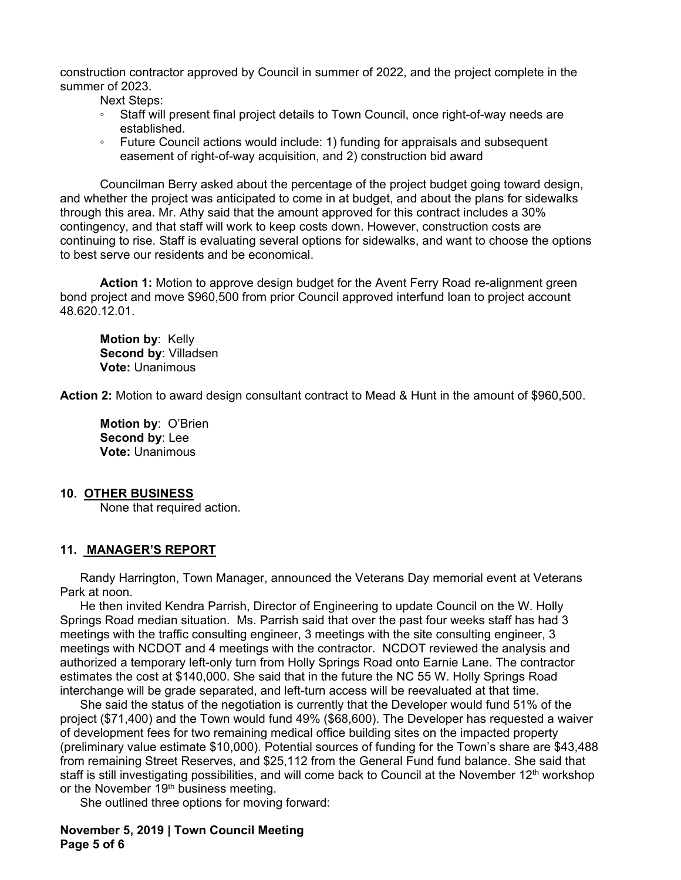construction contractor approved by Council in summer of 2022, and the project complete in the summer of 2023.

Next Steps:

- Staff will present final project details to Town Council, once right-of-way needs are established.
- Future Council actions would include: 1) funding for appraisals and subsequent easement of right-of-way acquisition, and 2) construction bid award

Councilman Berry asked about the percentage of the project budget going toward design, and whether the project was anticipated to come in at budget, and about the plans for sidewalks through this area. Mr. Athy said that the amount approved for this contract includes a 30% contingency, and that staff will work to keep costs down. However, construction costs are continuing to rise. Staff is evaluating several options for sidewalks, and want to choose the options to best serve our residents and be economical.

**Action 1:** Motion to approve design budget for the Avent Ferry Road re-alignment green bond project and move \$960,500 from prior Council approved interfund loan to project account 48.620.12.01.

 **Motion by**: Kelly  **Second by**: Villadsen  **Vote:** Unanimous

**Action 2:** Motion to award design consultant contract to Mead & Hunt in the amount of \$960,500.

 **Motion by**: O'Brien  **Second by**: Lee  **Vote:** Unanimous

#### **10. OTHER BUSINESS**

None that required action.

#### **11. MANAGER'S REPORT**

Randy Harrington, Town Manager, announced the Veterans Day memorial event at Veterans Park at noon.

He then invited Kendra Parrish, Director of Engineering to update Council on the W. Holly Springs Road median situation. Ms. Parrish said that over the past four weeks staff has had 3 meetings with the traffic consulting engineer, 3 meetings with the site consulting engineer, 3 meetings with NCDOT and 4 meetings with the contractor. NCDOT reviewed the analysis and authorized a temporary left-only turn from Holly Springs Road onto Earnie Lane. The contractor estimates the cost at \$140,000. She said that in the future the NC 55 W. Holly Springs Road interchange will be grade separated, and left-turn access will be reevaluated at that time.

She said the status of the negotiation is currently that the Developer would fund 51% of the project (\$71,400) and the Town would fund 49% (\$68,600). The Developer has requested a waiver of development fees for two remaining medical office building sites on the impacted property (preliminary value estimate \$10,000). Potential sources of funding for the Town's share are \$43,488 from remaining Street Reserves, and \$25,112 from the General Fund fund balance. She said that staff is still investigating possibilities, and will come back to Council at the November 12<sup>th</sup> workshop or the November 19<sup>th</sup> business meeting.

She outlined three options for moving forward:

**November 5, 2019 | Town Council Meeting Page 5 of 6**